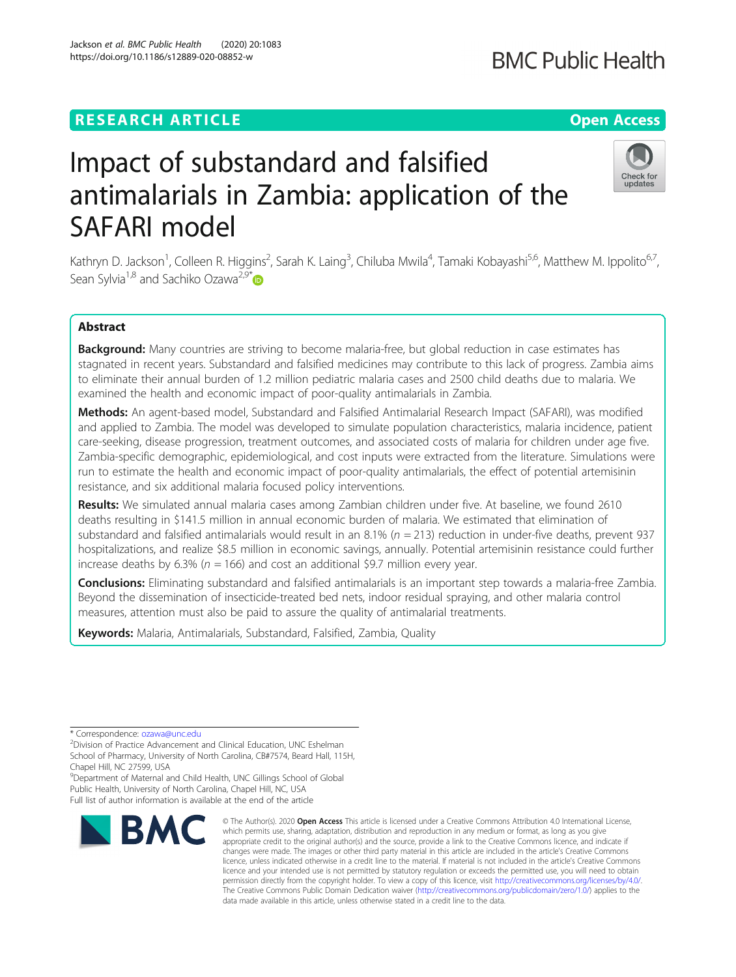# **RESEARCH ARTICLE Example 2014 12:30 The Contract of Contract ACCESS**

# Impact of substandard and falsified antimalarials in Zambia: application of the SAFARI model

Kathryn D. Jackson<sup>1</sup>, Colleen R. Higgins<sup>2</sup>, Sarah K. Laing<sup>3</sup>, Chiluba Mwila<sup>4</sup>, Tamaki Kobayashi<sup>5,6</sup>, Matthew M. Ippolito<sup>6,7</sup>, Sean Sylvia<sup>1,8</sup> and Sachiko Ozawa<sup>2,9[\\*](http://orcid.org/0000-0001-7608-9038)</sup>

# Abstract

Background: Many countries are striving to become malaria-free, but global reduction in case estimates has stagnated in recent years. Substandard and falsified medicines may contribute to this lack of progress. Zambia aims to eliminate their annual burden of 1.2 million pediatric malaria cases and 2500 child deaths due to malaria. We examined the health and economic impact of poor-quality antimalarials in Zambia.

Methods: An agent-based model, Substandard and Falsified Antimalarial Research Impact (SAFARI), was modified and applied to Zambia. The model was developed to simulate population characteristics, malaria incidence, patient care-seeking, disease progression, treatment outcomes, and associated costs of malaria for children under age five. Zambia-specific demographic, epidemiological, and cost inputs were extracted from the literature. Simulations were run to estimate the health and economic impact of poor-quality antimalarials, the effect of potential artemisinin resistance, and six additional malaria focused policy interventions.

Results: We simulated annual malaria cases among Zambian children under five. At baseline, we found 2610 deaths resulting in \$141.5 million in annual economic burden of malaria. We estimated that elimination of substandard and falsified antimalarials would result in an 8.1%  $(n = 213)$  reduction in under-five deaths, prevent 937 hospitalizations, and realize \$8.5 million in economic savings, annually. Potential artemisinin resistance could further increase deaths by 6.3% ( $n = 166$ ) and cost an additional \$9.7 million every year.

**Conclusions:** Eliminating substandard and falsified antimalarials is an important step towards a malaria-free Zambia. Beyond the dissemination of insecticide-treated bed nets, indoor residual spraying, and other malaria control measures, attention must also be paid to assure the quality of antimalarial treatments.

Keywords: Malaria, Antimalarials, Substandard, Falsified, Zambia, Quality

\* Correspondence: [ozawa@unc.edu](mailto:ozawa@unc.edu) <sup>2</sup>

<sup>2</sup> Division of Practice Advancement and Clinical Education, UNC Eshelman School of Pharmacy, University of North Carolina, CB#7574, Beard Hall, 115H, Chapel Hill, NC 27599, USA

<sup>9</sup> Department of Maternal and Child Health, UNC Gillings School of Global Public Health, University of North Carolina, Chapel Hill, NC, USA Full list of author information is available at the end of the article

© The Author(s), 2020 **Open Access** This article is licensed under a Creative Commons Attribution 4.0 International License, which permits use, sharing, adaptation, distribution and reproduction in any medium or format, as long as you give appropriate credit to the original author(s) and the source, provide a link to the Creative Commons licence, and indicate if changes were made. The images or other third party material in this article are included in the article's Creative Commons licence, unless indicated otherwise in a credit line to the material. If material is not included in the article's Creative Commons licence and your intended use is not permitted by statutory regulation or exceeds the permitted use, you will need to obtain permission directly from the copyright holder. To view a copy of this licence, visit [http://creativecommons.org/licenses/by/4.0/.](http://creativecommons.org/licenses/by/4.0/) The Creative Commons Public Domain Dedication waiver [\(http://creativecommons.org/publicdomain/zero/1.0/](http://creativecommons.org/publicdomain/zero/1.0/)) applies to the data made available in this article, unless otherwise stated in a credit line to the data.

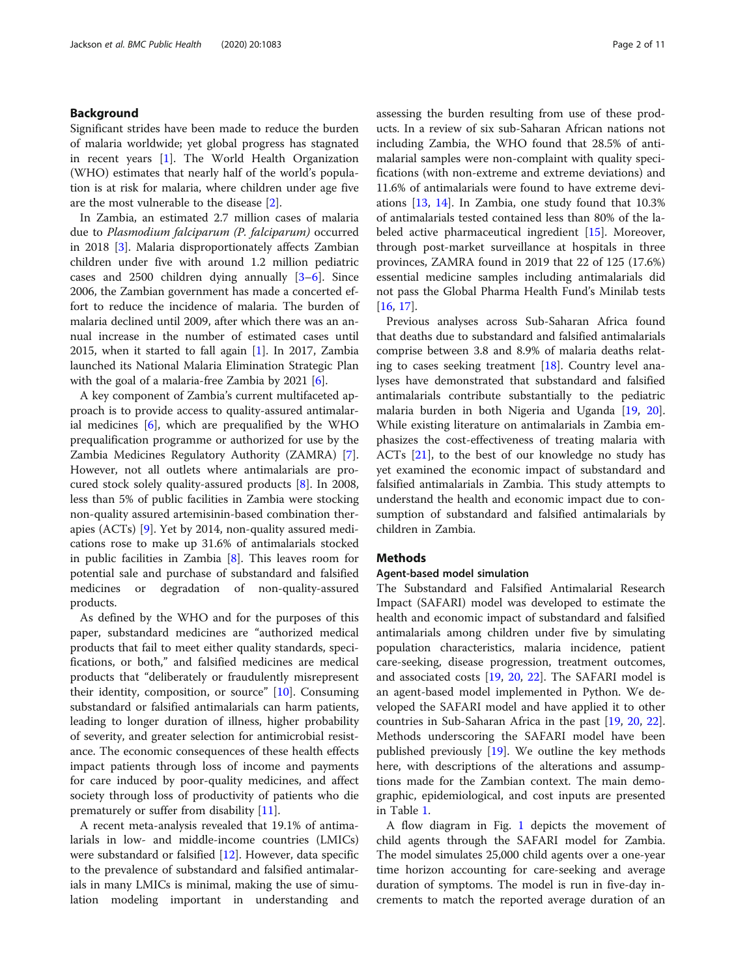# Background

Significant strides have been made to reduce the burden of malaria worldwide; yet global progress has stagnated in recent years [\[1](#page-8-0)]. The World Health Organization (WHO) estimates that nearly half of the world's population is at risk for malaria, where children under age five are the most vulnerable to the disease [\[2\]](#page-8-0).

In Zambia, an estimated 2.7 million cases of malaria due to Plasmodium falciparum (P. falciparum) occurred in 2018 [[3\]](#page-8-0). Malaria disproportionately affects Zambian children under five with around 1.2 million pediatric cases and 2500 children dying annually [[3](#page-8-0)–[6](#page-8-0)]. Since 2006, the Zambian government has made a concerted effort to reduce the incidence of malaria. The burden of malaria declined until 2009, after which there was an annual increase in the number of estimated cases until 2015, when it started to fall again [\[1](#page-8-0)]. In 2017, Zambia launched its National Malaria Elimination Strategic Plan with the goal of a malaria-free Zambia by 2021 [\[6](#page-8-0)].

A key component of Zambia's current multifaceted approach is to provide access to quality-assured antimalarial medicines  $[6]$  $[6]$  $[6]$ , which are prequalified by the WHO prequalification programme or authorized for use by the Zambia Medicines Regulatory Authority (ZAMRA) [\[7](#page-8-0)]. However, not all outlets where antimalarials are procured stock solely quality-assured products [[8\]](#page-8-0). In 2008, less than 5% of public facilities in Zambia were stocking non-quality assured artemisinin-based combination therapies (ACTs) [\[9](#page-8-0)]. Yet by 2014, non-quality assured medications rose to make up 31.6% of antimalarials stocked in public facilities in Zambia [[8\]](#page-8-0). This leaves room for potential sale and purchase of substandard and falsified medicines or degradation of non-quality-assured products.

As defined by the WHO and for the purposes of this paper, substandard medicines are "authorized medical products that fail to meet either quality standards, specifications, or both," and falsified medicines are medical products that "deliberately or fraudulently misrepresent their identity, composition, or source" [\[10](#page-8-0)]. Consuming substandard or falsified antimalarials can harm patients, leading to longer duration of illness, higher probability of severity, and greater selection for antimicrobial resistance. The economic consequences of these health effects impact patients through loss of income and payments for care induced by poor-quality medicines, and affect society through loss of productivity of patients who die prematurely or suffer from disability [[11\]](#page-8-0).

A recent meta-analysis revealed that 19.1% of antimalarials in low- and middle-income countries (LMICs) were substandard or falsified [[12](#page-8-0)]. However, data specific to the prevalence of substandard and falsified antimalarials in many LMICs is minimal, making the use of simulation modeling important in understanding and assessing the burden resulting from use of these products. In a review of six sub-Saharan African nations not including Zambia, the WHO found that 28.5% of antimalarial samples were non-complaint with quality specifications (with non-extreme and extreme deviations) and 11.6% of antimalarials were found to have extreme deviations [\[13](#page-9-0), [14](#page-9-0)]. In Zambia, one study found that 10.3% of antimalarials tested contained less than 80% of the la-beled active pharmaceutical ingredient [\[15](#page-9-0)]. Moreover, through post-market surveillance at hospitals in three provinces, ZAMRA found in 2019 that 22 of 125 (17.6%) essential medicine samples including antimalarials did not pass the Global Pharma Health Fund's Minilab tests [[16,](#page-9-0) [17\]](#page-9-0).

Previous analyses across Sub-Saharan Africa found that deaths due to substandard and falsified antimalarials comprise between 3.8 and 8.9% of malaria deaths relating to cases seeking treatment [[18\]](#page-9-0). Country level analyses have demonstrated that substandard and falsified antimalarials contribute substantially to the pediatric malaria burden in both Nigeria and Uganda [\[19](#page-9-0), [20](#page-9-0)]. While existing literature on antimalarials in Zambia emphasizes the cost-effectiveness of treating malaria with ACTs [\[21\]](#page-9-0), to the best of our knowledge no study has yet examined the economic impact of substandard and falsified antimalarials in Zambia. This study attempts to understand the health and economic impact due to consumption of substandard and falsified antimalarials by children in Zambia.

# **Methods**

# Agent-based model simulation

The Substandard and Falsified Antimalarial Research Impact (SAFARI) model was developed to estimate the health and economic impact of substandard and falsified antimalarials among children under five by simulating population characteristics, malaria incidence, patient care-seeking, disease progression, treatment outcomes, and associated costs [[19](#page-9-0), [20](#page-9-0), [22\]](#page-9-0). The SAFARI model is an agent-based model implemented in Python. We developed the SAFARI model and have applied it to other countries in Sub-Saharan Africa in the past [\[19](#page-9-0), [20,](#page-9-0) [22](#page-9-0)]. Methods underscoring the SAFARI model have been published previously [\[19](#page-9-0)]. We outline the key methods here, with descriptions of the alterations and assumptions made for the Zambian context. The main demographic, epidemiological, and cost inputs are presented in Table [1.](#page-2-0)

A flow diagram in Fig. [1](#page-4-0) depicts the movement of child agents through the SAFARI model for Zambia. The model simulates 25,000 child agents over a one-year time horizon accounting for care-seeking and average duration of symptoms. The model is run in five-day increments to match the reported average duration of an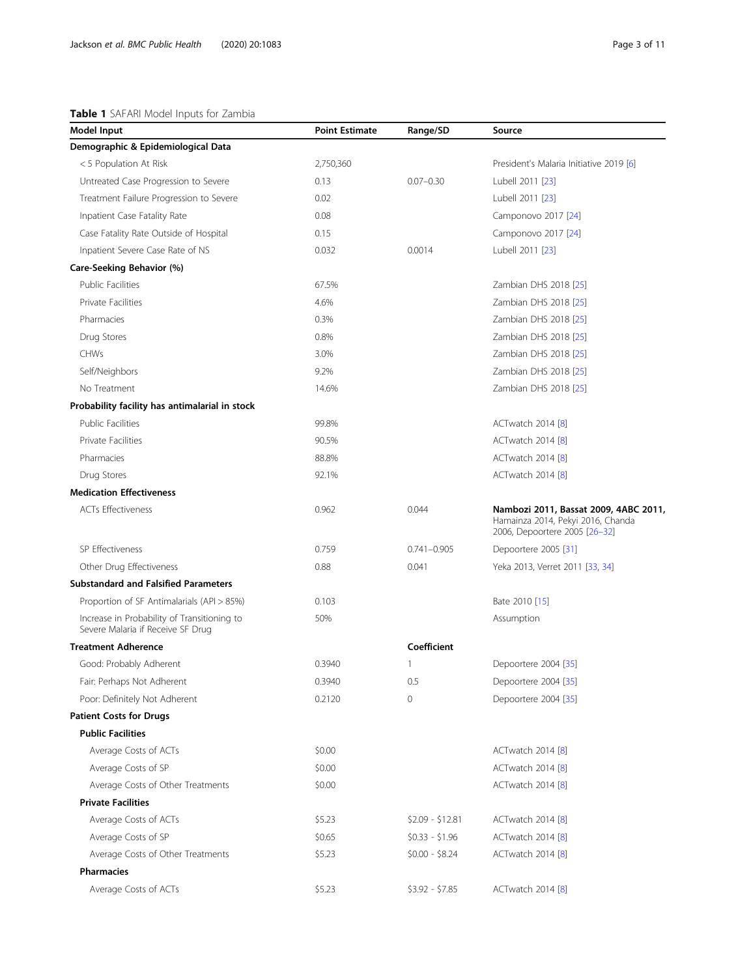#### Table 1 SAFARI Model Inputs for Zambia

<span id="page-2-0"></span>

| Model Input                                                                      | <b>Point Estimate</b> | Range/SD            | Source                                                                                                      |
|----------------------------------------------------------------------------------|-----------------------|---------------------|-------------------------------------------------------------------------------------------------------------|
| Demographic & Epidemiological Data                                               |                       |                     |                                                                                                             |
| < 5 Population At Risk                                                           | 2,750,360             |                     | President's Malaria Initiative 2019 [6]                                                                     |
| Untreated Case Progression to Severe                                             | 0.13                  | $0.07 - 0.30$       | Lubell 2011 [23]                                                                                            |
| Treatment Failure Progression to Severe                                          | 0.02                  |                     | Lubell 2011 [23]                                                                                            |
| Inpatient Case Fatality Rate                                                     | 0.08                  |                     | Camponovo 2017 [24]                                                                                         |
| Case Fatality Rate Outside of Hospital                                           | 0.15                  |                     | Camponovo 2017 [24]                                                                                         |
| Inpatient Severe Case Rate of NS                                                 | 0.032                 | 0.0014              | Lubell 2011 [23]                                                                                            |
| Care-Seeking Behavior (%)                                                        |                       |                     |                                                                                                             |
| <b>Public Facilities</b>                                                         | 67.5%                 |                     | Zambian DHS 2018 [25]                                                                                       |
| Private Facilities                                                               | 4.6%                  |                     | Zambian DHS 2018 [25]                                                                                       |
| Pharmacies                                                                       | 0.3%                  |                     | Zambian DHS 2018 [25]                                                                                       |
| Drug Stores                                                                      | 0.8%                  |                     | Zambian DHS 2018 [25]                                                                                       |
| <b>CHWs</b>                                                                      | 3.0%                  |                     | Zambian DHS 2018 [25]                                                                                       |
| Self/Neighbors                                                                   | 9.2%                  |                     | Zambian DHS 2018 [25]                                                                                       |
| No Treatment                                                                     | 14.6%                 |                     | Zambian DHS 2018 [25]                                                                                       |
| Probability facility has antimalarial in stock                                   |                       |                     |                                                                                                             |
| <b>Public Facilities</b>                                                         | 99.8%                 |                     | ACTwatch 2014 [8]                                                                                           |
| Private Facilities                                                               | 90.5%                 |                     | ACTwatch 2014 [8]                                                                                           |
| Pharmacies                                                                       | 88.8%                 |                     | ACTwatch 2014 [8]                                                                                           |
| Drug Stores                                                                      | 92.1%                 |                     | ACTwatch 2014 [8]                                                                                           |
| <b>Medication Effectiveness</b>                                                  |                       |                     |                                                                                                             |
| <b>ACTs Effectiveness</b>                                                        | 0.962                 | 0.044               | Nambozi 2011, Bassat 2009, 4ABC 2011,<br>Hamainza 2014, Pekyi 2016, Chanda<br>2006, Depoortere 2005 [26-32] |
| SP Effectiveness                                                                 | 0.759                 | $0.741 - 0.905$     | Depoortere 2005 [31]                                                                                        |
| Other Drug Effectiveness                                                         | 0.88                  | 0.041               | Yeka 2013, Verret 2011 [33, 34]                                                                             |
| <b>Substandard and Falsified Parameters</b>                                      |                       |                     |                                                                                                             |
| Proportion of SF Antimalarials (API > 85%)                                       | 0.103                 |                     | Bate 2010 [15]                                                                                              |
| Increase in Probability of Transitioning to<br>Severe Malaria if Receive SF Drug | 50%                   |                     | Assumption                                                                                                  |
| <b>Treatment Adherence</b>                                                       |                       | Coefficient         |                                                                                                             |
| Good: Probably Adherent                                                          | 0.3940                | 1                   | Depoortere 2004 [35]                                                                                        |
| Fair: Perhaps Not Adherent                                                       | 0.3940                | 0.5                 | Depoortere 2004 [35]                                                                                        |
| Poor: Definitely Not Adherent                                                    | 0.2120                | $\mathsf{O}\xspace$ | Depoortere 2004 [35]                                                                                        |
| <b>Patient Costs for Drugs</b>                                                   |                       |                     |                                                                                                             |
| <b>Public Facilities</b>                                                         |                       |                     |                                                                                                             |
| Average Costs of ACTs                                                            | \$0.00                |                     | ACTwatch 2014 [8]                                                                                           |
| Average Costs of SP                                                              | \$0.00                |                     | ACTwatch 2014 [8]                                                                                           |
| Average Costs of Other Treatments                                                | \$0.00                |                     | ACTwatch 2014 [8]                                                                                           |
| <b>Private Facilities</b>                                                        |                       |                     |                                                                                                             |
| Average Costs of ACTs                                                            | \$5.23                | $$2.09 - $12.81$    | ACTwatch 2014 [8]                                                                                           |
| Average Costs of SP                                                              | \$0.65                | $$0.33 - $1.96$     | ACTwatch 2014 [8]                                                                                           |
| Average Costs of Other Treatments                                                | \$5.23                | $$0.00 - $8.24$$    | ACTwatch 2014 [8]                                                                                           |
| <b>Pharmacies</b>                                                                |                       |                     |                                                                                                             |
| Average Costs of ACTs                                                            | \$5.23                | $$3.92 - $7.85$     | ACTwatch 2014 [8]                                                                                           |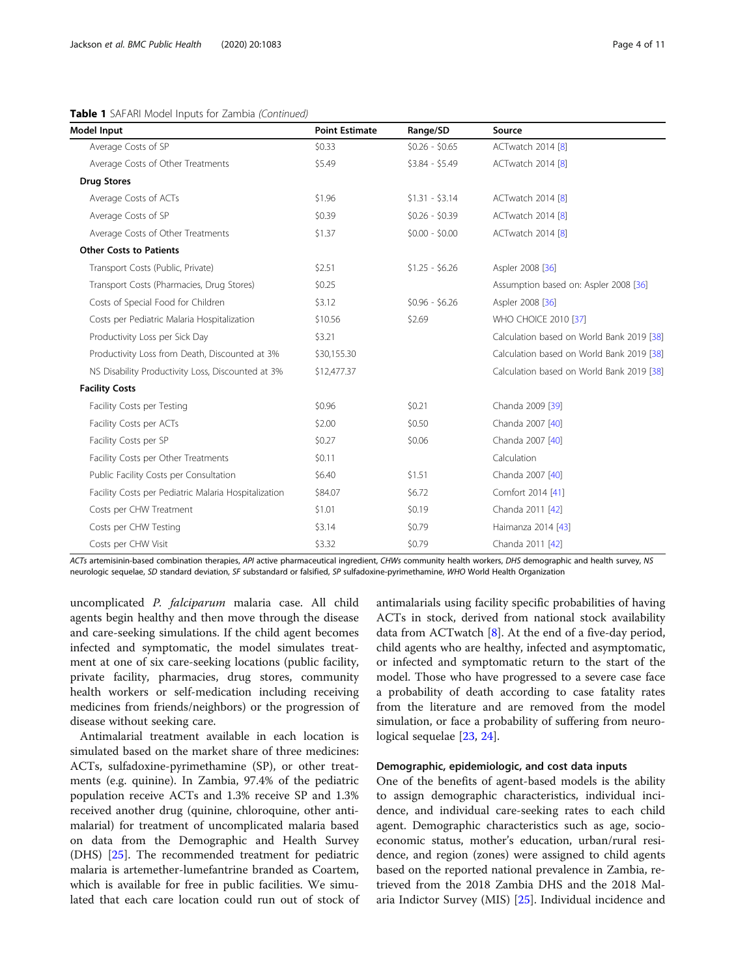#### Table 1 SAFARI Model Inputs for Zambia (Continued)

| Model Input                                          | <b>Point Estimate</b>     | Range/SD                   | Source                                    |  |
|------------------------------------------------------|---------------------------|----------------------------|-------------------------------------------|--|
| Average Costs of SP                                  | \$0.33                    | $$0.26 - $0.65$            | ACTwatch 2014 [8]                         |  |
| Average Costs of Other Treatments                    | \$5.49                    | $$3.84 - $5.49$            | ACTwatch 2014 [8]                         |  |
| <b>Drug Stores</b>                                   |                           |                            |                                           |  |
| Average Costs of ACTs                                | \$1.96                    | $$1.31 - $3.14$            | ACTwatch 2014 [8]                         |  |
| Average Costs of SP                                  | \$0.39                    | $$0.26 - $0.39$            | ACTwatch 2014 [8]                         |  |
| Average Costs of Other Treatments                    | \$1.37                    | $$0.00 - $0.00$            | ACTwatch 2014 [8]                         |  |
| <b>Other Costs to Patients</b>                       |                           |                            |                                           |  |
| Transport Costs (Public, Private)                    | \$2.51                    | $$1.25 - $6.26$            | Aspler 2008 [36]                          |  |
| Transport Costs (Pharmacies, Drug Stores)            | \$0.25                    |                            | Assumption based on: Aspler 2008 [36]     |  |
| Costs of Special Food for Children                   | \$3.12<br>$$0.96 - $6.26$ |                            | Aspler 2008 [36]                          |  |
| Costs per Pediatric Malaria Hospitalization          | \$10.56<br>\$2.69         |                            | WHO CHOICE 2010 [37]                      |  |
| Productivity Loss per Sick Day                       | \$3.21                    |                            | Calculation based on World Bank 2019 [38] |  |
| Productivity Loss from Death, Discounted at 3%       | \$30,155.30               |                            | Calculation based on World Bank 2019 [38] |  |
| NS Disability Productivity Loss, Discounted at 3%    | \$12,477.37               |                            | Calculation based on World Bank 2019 [38] |  |
| <b>Facility Costs</b>                                |                           |                            |                                           |  |
| Facility Costs per Testing                           | \$0.96                    | \$0.21                     | Chanda 2009 [39]                          |  |
| Facility Costs per ACTs                              | \$0.50<br>\$2.00          |                            | Chanda 2007 [40]                          |  |
| Facility Costs per SP                                | \$0.27                    | \$0.06<br>Chanda 2007 [40] |                                           |  |
| Facility Costs per Other Treatments                  | \$0.11                    |                            | Calculation                               |  |
| Public Facility Costs per Consultation               | \$6.40                    | \$1.51                     | Chanda 2007 [40]                          |  |
| Facility Costs per Pediatric Malaria Hospitalization | \$84.07                   | \$6.72                     | Comfort 2014 [41]                         |  |
| Costs per CHW Treatment                              | \$1.01                    | \$0.19                     | Chanda 2011 [42]                          |  |
| Costs per CHW Testing                                | \$3.14                    | \$0.79                     | Haimanza 2014 [43]                        |  |
| Costs per CHW Visit                                  | \$3.32                    | \$0.79                     | Chanda 2011 [42]                          |  |

ACTs artemisinin-based combination therapies, API active pharmaceutical ingredient, CHWs community health workers, DHS demographic and health survey, NS neurologic sequelae, SD standard deviation, SF substandard or falsified, SP sulfadoxine-pyrimethamine, WHO World Health Organization

uncomplicated P. falciparum malaria case. All child agents begin healthy and then move through the disease and care-seeking simulations. If the child agent becomes infected and symptomatic, the model simulates treatment at one of six care-seeking locations (public facility, private facility, pharmacies, drug stores, community health workers or self-medication including receiving medicines from friends/neighbors) or the progression of disease without seeking care.

Antimalarial treatment available in each location is simulated based on the market share of three medicines: ACTs, sulfadoxine-pyrimethamine (SP), or other treatments (e.g. quinine). In Zambia, 97.4% of the pediatric population receive ACTs and 1.3% receive SP and 1.3% received another drug (quinine, chloroquine, other antimalarial) for treatment of uncomplicated malaria based on data from the Demographic and Health Survey (DHS) [\[25](#page-9-0)]. The recommended treatment for pediatric malaria is artemether-lumefantrine branded as Coartem, which is available for free in public facilities. We simulated that each care location could run out of stock of antimalarials using facility specific probabilities of having ACTs in stock, derived from national stock availability data from ACTwatch [[8\]](#page-8-0). At the end of a five-day period, child agents who are healthy, infected and asymptomatic, or infected and symptomatic return to the start of the model. Those who have progressed to a severe case face a probability of death according to case fatality rates from the literature and are removed from the model simulation, or face a probability of suffering from neurological sequelae [[23](#page-9-0), [24](#page-9-0)].

# Demographic, epidemiologic, and cost data inputs

One of the benefits of agent-based models is the ability to assign demographic characteristics, individual incidence, and individual care-seeking rates to each child agent. Demographic characteristics such as age, socioeconomic status, mother's education, urban/rural residence, and region (zones) were assigned to child agents based on the reported national prevalence in Zambia, retrieved from the 2018 Zambia DHS and the 2018 Malaria Indictor Survey (MIS) [\[25](#page-9-0)]. Individual incidence and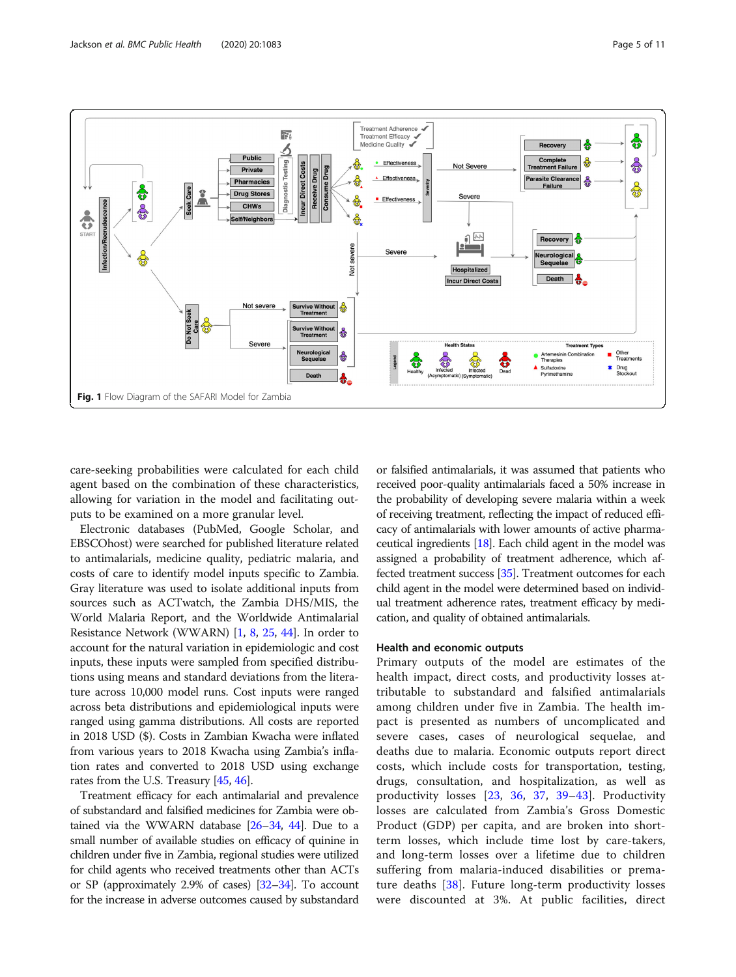<span id="page-4-0"></span>

care-seeking probabilities were calculated for each child agent based on the combination of these characteristics, allowing for variation in the model and facilitating outputs to be examined on a more granular level.

Electronic databases (PubMed, Google Scholar, and EBSCOhost) were searched for published literature related to antimalarials, medicine quality, pediatric malaria, and costs of care to identify model inputs specific to Zambia. Gray literature was used to isolate additional inputs from sources such as ACTwatch, the Zambia DHS/MIS, the World Malaria Report, and the Worldwide Antimalarial Resistance Network (WWARN) [\[1,](#page-8-0) [8](#page-8-0), [25](#page-9-0), [44](#page-9-0)]. In order to account for the natural variation in epidemiologic and cost inputs, these inputs were sampled from specified distributions using means and standard deviations from the literature across 10,000 model runs. Cost inputs were ranged across beta distributions and epidemiological inputs were ranged using gamma distributions. All costs are reported in 2018 USD (\$). Costs in Zambian Kwacha were inflated from various years to 2018 Kwacha using Zambia's inflation rates and converted to 2018 USD using exchange rates from the U.S. Treasury [[45](#page-9-0), [46\]](#page-9-0).

Treatment efficacy for each antimalarial and prevalence of substandard and falsified medicines for Zambia were obtained via the WWARN database [[26](#page-9-0)–[34](#page-9-0), [44](#page-9-0)]. Due to a small number of available studies on efficacy of quinine in children under five in Zambia, regional studies were utilized for child agents who received treatments other than ACTs or SP (approximately 2.9% of cases) [\[32](#page-9-0)–[34\]](#page-9-0). To account for the increase in adverse outcomes caused by substandard or falsified antimalarials, it was assumed that patients who received poor-quality antimalarials faced a 50% increase in the probability of developing severe malaria within a week of receiving treatment, reflecting the impact of reduced efficacy of antimalarials with lower amounts of active pharmaceutical ingredients  $[18]$ . Each child agent in the model was assigned a probability of treatment adherence, which affected treatment success [\[35\]](#page-9-0). Treatment outcomes for each child agent in the model were determined based on individual treatment adherence rates, treatment efficacy by medication, and quality of obtained antimalarials.

#### Health and economic outputs

Primary outputs of the model are estimates of the health impact, direct costs, and productivity losses attributable to substandard and falsified antimalarials among children under five in Zambia. The health impact is presented as numbers of uncomplicated and severe cases, cases of neurological sequelae, and deaths due to malaria. Economic outputs report direct costs, which include costs for transportation, testing, drugs, consultation, and hospitalization, as well as productivity losses [[23,](#page-9-0) [36](#page-9-0), [37,](#page-9-0) [39](#page-9-0)–[43](#page-9-0)]. Productivity losses are calculated from Zambia's Gross Domestic Product (GDP) per capita, and are broken into shortterm losses, which include time lost by care-takers, and long-term losses over a lifetime due to children suffering from malaria-induced disabilities or premature deaths [[38](#page-9-0)]. Future long-term productivity losses were discounted at 3%. At public facilities, direct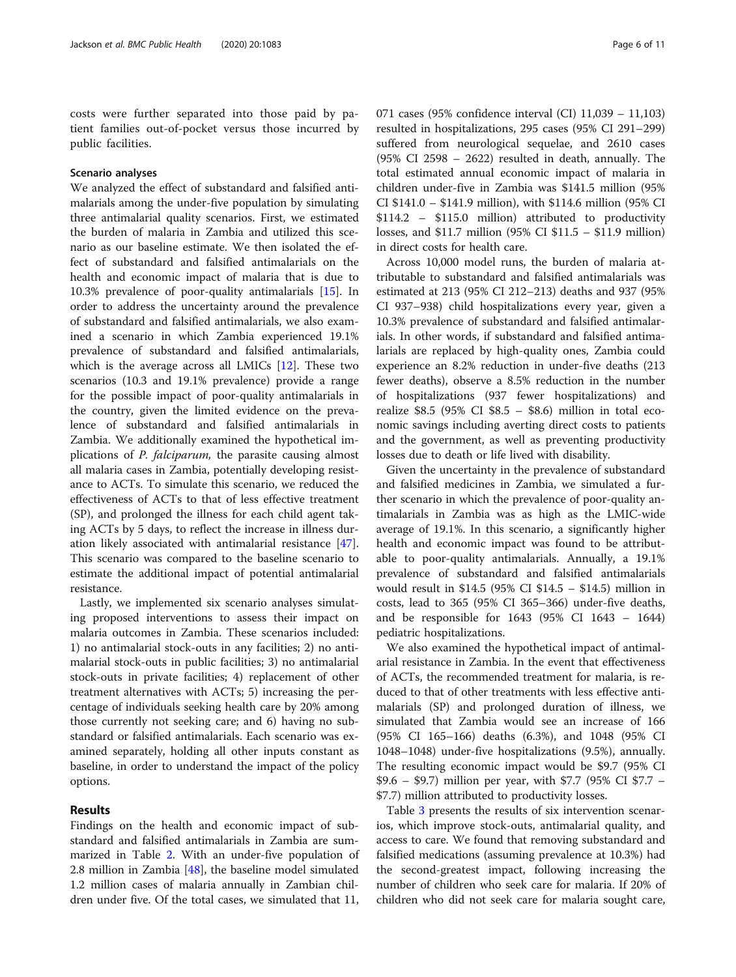costs were further separated into those paid by patient families out-of-pocket versus those incurred by public facilities.

# Scenario analyses

We analyzed the effect of substandard and falsified antimalarials among the under-five population by simulating three antimalarial quality scenarios. First, we estimated the burden of malaria in Zambia and utilized this scenario as our baseline estimate. We then isolated the effect of substandard and falsified antimalarials on the health and economic impact of malaria that is due to 10.3% prevalence of poor-quality antimalarials [[15\]](#page-9-0). In order to address the uncertainty around the prevalence of substandard and falsified antimalarials, we also examined a scenario in which Zambia experienced 19.1% prevalence of substandard and falsified antimalarials, which is the average across all LMICs [\[12](#page-8-0)]. These two scenarios (10.3 and 19.1% prevalence) provide a range for the possible impact of poor-quality antimalarials in the country, given the limited evidence on the prevalence of substandard and falsified antimalarials in Zambia. We additionally examined the hypothetical implications of P. falciparum, the parasite causing almost all malaria cases in Zambia, potentially developing resistance to ACTs. To simulate this scenario, we reduced the effectiveness of ACTs to that of less effective treatment (SP), and prolonged the illness for each child agent taking ACTs by 5 days, to reflect the increase in illness duration likely associated with antimalarial resistance [\[47](#page-9-0)]. This scenario was compared to the baseline scenario to estimate the additional impact of potential antimalarial resistance.

Lastly, we implemented six scenario analyses simulating proposed interventions to assess their impact on malaria outcomes in Zambia. These scenarios included: 1) no antimalarial stock-outs in any facilities; 2) no antimalarial stock-outs in public facilities; 3) no antimalarial stock-outs in private facilities; 4) replacement of other treatment alternatives with ACTs; 5) increasing the percentage of individuals seeking health care by 20% among those currently not seeking care; and 6) having no substandard or falsified antimalarials. Each scenario was examined separately, holding all other inputs constant as baseline, in order to understand the impact of the policy options.

# Results

Findings on the health and economic impact of substandard and falsified antimalarials in Zambia are summarized in Table [2.](#page-6-0) With an under-five population of 2.8 million in Zambia [\[48](#page-9-0)], the baseline model simulated 1.2 million cases of malaria annually in Zambian children under five. Of the total cases, we simulated that 11, 071 cases (95% confidence interval (CI) 11,039 – 11,103) resulted in hospitalizations, 295 cases (95% CI 291–299) suffered from neurological sequelae, and 2610 cases (95% CI 2598 – 2622) resulted in death, annually. The total estimated annual economic impact of malaria in children under-five in Zambia was \$141.5 million (95% CI \$141.0 – \$141.9 million), with \$114.6 million (95% CI \$114.2 – \$115.0 million) attributed to productivity losses, and \$11.7 million (95% CI \$11.5 – \$11.9 million) in direct costs for health care.

Across 10,000 model runs, the burden of malaria attributable to substandard and falsified antimalarials was estimated at 213 (95% CI 212–213) deaths and 937 (95% CI 937–938) child hospitalizations every year, given a 10.3% prevalence of substandard and falsified antimalarials. In other words, if substandard and falsified antimalarials are replaced by high-quality ones, Zambia could experience an 8.2% reduction in under-five deaths (213 fewer deaths), observe a 8.5% reduction in the number of hospitalizations (937 fewer hospitalizations) and realize \$8.5 (95% CI \$8.5 – \$8.6) million in total economic savings including averting direct costs to patients and the government, as well as preventing productivity losses due to death or life lived with disability.

Given the uncertainty in the prevalence of substandard and falsified medicines in Zambia, we simulated a further scenario in which the prevalence of poor-quality antimalarials in Zambia was as high as the LMIC-wide average of 19.1%. In this scenario, a significantly higher health and economic impact was found to be attributable to poor-quality antimalarials. Annually, a 19.1% prevalence of substandard and falsified antimalarials would result in \$14.5 (95% CI \$14.5 – \$14.5) million in costs, lead to 365 (95% CI 365–366) under-five deaths, and be responsible for 1643 (95% CI 1643 – 1644) pediatric hospitalizations.

We also examined the hypothetical impact of antimalarial resistance in Zambia. In the event that effectiveness of ACTs, the recommended treatment for malaria, is reduced to that of other treatments with less effective antimalarials (SP) and prolonged duration of illness, we simulated that Zambia would see an increase of 166 (95% CI 165–166) deaths (6.3%), and 1048 (95% CI 1048–1048) under-five hospitalizations (9.5%), annually. The resulting economic impact would be \$9.7 (95% CI \$9.6 – \$9.7) million per year, with \$7.7 (95% CI \$7.7 – \$7.7) million attributed to productivity losses.

Table [3](#page-6-0) presents the results of six intervention scenarios, which improve stock-outs, antimalarial quality, and access to care. We found that removing substandard and falsified medications (assuming prevalence at 10.3%) had the second-greatest impact, following increasing the number of children who seek care for malaria. If 20% of children who did not seek care for malaria sought care,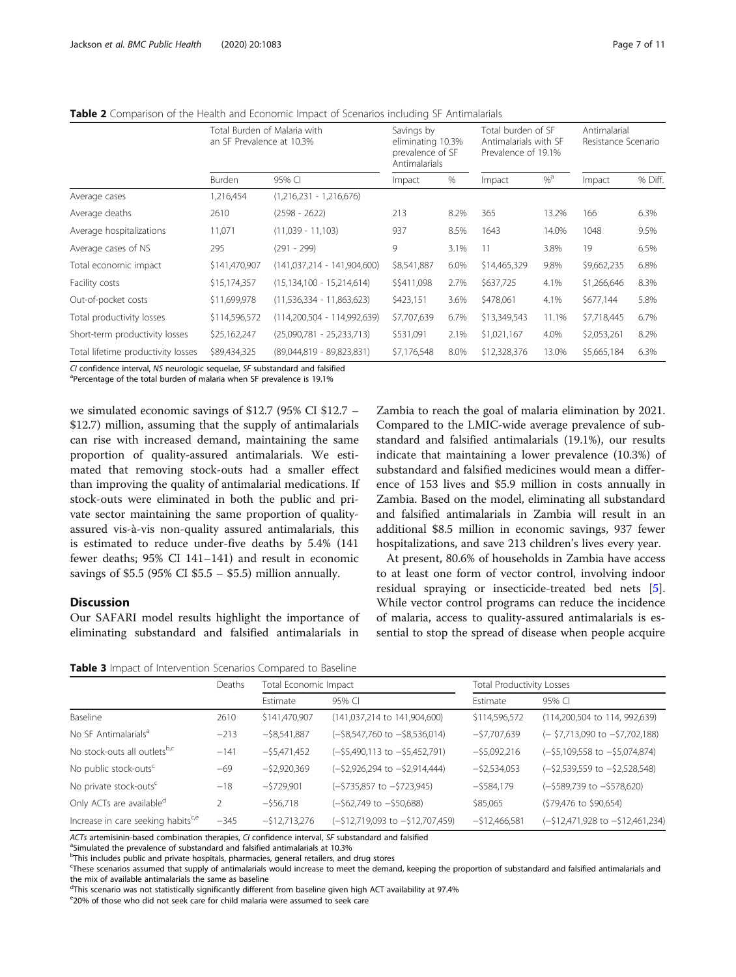<span id="page-6-0"></span>

|  | <b>Table 2</b> Comparison of the Health and Economic Impact of Scenarios including SF Antimalarials |  |
|--|-----------------------------------------------------------------------------------------------------|--|
|  |                                                                                                     |  |

|                                    | Total Burden of Malaria with<br>an SF Prevalence at 10.3% |                                 | Savings by<br>eliminating 10.3%<br>prevalence of SF<br>Antimalarials |      | Total burden of SF<br>Antimalarials with SF<br>Prevalence of 19.1% |                  | Antimalarial<br>Resistance Scenario |         |
|------------------------------------|-----------------------------------------------------------|---------------------------------|----------------------------------------------------------------------|------|--------------------------------------------------------------------|------------------|-------------------------------------|---------|
|                                    | Burden                                                    | 95% CI                          | Impact                                                               | $\%$ | Impact                                                             | $%$ <sup>a</sup> | Impact                              | % Diff. |
| Average cases                      | 1,216,454                                                 | $(1,216,231 - 1,216,676)$       |                                                                      |      |                                                                    |                  |                                     |         |
| Average deaths                     | 2610                                                      | (2598 - 2622)                   | 213                                                                  | 8.2% | 365                                                                | 13.2%            | 166                                 | 6.3%    |
| Average hospitalizations           | 11,071                                                    | $(11,039 - 11,103)$             | 937                                                                  | 8.5% | 1643                                                               | 14.0%            | 1048                                | 9.5%    |
| Average cases of NS                | 295                                                       | $(291 - 299)$                   | 9                                                                    | 3.1% | 11                                                                 | 3.8%             | 19                                  | 6.5%    |
| Total economic impact              | \$141,470,907                                             | $(141,037,214 - 141,904,600)$   | \$8,541,887                                                          | 6.0% | \$14,465,329                                                       | 9.8%             | \$9,662,235                         | 6.8%    |
| Facility costs                     | \$15,174,357                                              | $(15, 134, 100 - 15, 214, 614)$ | \$\$411,098                                                          | 2.7% | \$637,725                                                          | 4.1%             | \$1,266,646                         | 8.3%    |
| Out-of-pocket costs                | \$11,699,978                                              | $(11,536,334 - 11,863,623)$     | \$423,151                                                            | 3.6% | \$478,061                                                          | 4.1%             | \$677,144                           | 5.8%    |
| Total productivity losses          | \$114,596,572                                             | $(114,200,504 - 114,992,639)$   | \$7,707,639                                                          | 6.7% | \$13,349,543                                                       | 11.1%            | \$7,718,445                         | 6.7%    |
| Short-term productivity losses     | \$25,162,247                                              | $(25,090,781 - 25,233,713)$     | \$531,091                                                            | 2.1% | \$1,021,167                                                        | 4.0%             | \$2,053,261                         | 8.2%    |
| Total lifetime productivity losses | \$89,434,325                                              | $(89,044,819 - 89,823,831)$     | \$7,176,548                                                          | 8.0% | \$12,328,376                                                       | 13.0%            | \$5,665,184                         | 6.3%    |

 $CI$  confidence interval, NS neurologic sequelae, SF substandard and falsified

<sup>a</sup>Percentage of the total burden of malaria when SF prevalence is 19.1%

we simulated economic savings of \$12.7 (95% CI \$12.7 – \$12.7) million, assuming that the supply of antimalarials can rise with increased demand, maintaining the same proportion of quality-assured antimalarials. We estimated that removing stock-outs had a smaller effect than improving the quality of antimalarial medications. If stock-outs were eliminated in both the public and private sector maintaining the same proportion of qualityassured vis-à-vis non-quality assured antimalarials, this is estimated to reduce under-five deaths by 5.4% (141 fewer deaths; 95% CI 141–141) and result in economic savings of \$5.5 (95% CI \$5.5 – \$5.5) million annually.

# Discussion

Our SAFARI model results highlight the importance of eliminating substandard and falsified antimalarials in

Zambia to reach the goal of malaria elimination by 2021. Compared to the LMIC-wide average prevalence of substandard and falsified antimalarials (19.1%), our results indicate that maintaining a lower prevalence (10.3%) of substandard and falsified medicines would mean a difference of 153 lives and \$5.9 million in costs annually in Zambia. Based on the model, eliminating all substandard and falsified antimalarials in Zambia will result in an additional \$8.5 million in economic savings, 937 fewer hospitalizations, and save 213 children's lives every year.

At present, 80.6% of households in Zambia have access to at least one form of vector control, involving indoor residual spraying or insecticide-treated bed nets [\[5](#page-8-0)]. While vector control programs can reduce the incidence of malaria, access to quality-assured antimalarials is essential to stop the spread of disease when people acquire

|  |  |  | Table 3 Impact of Intervention Scenarios Compared to Baseline |  |  |  |
|--|--|--|---------------------------------------------------------------|--|--|--|
|--|--|--|---------------------------------------------------------------|--|--|--|

|                                                | Deaths | Total Economic Impact |                                                                 | <b>Total Productivity Losses</b> |                                    |  |
|------------------------------------------------|--------|-----------------------|-----------------------------------------------------------------|----------------------------------|------------------------------------|--|
|                                                |        | Estimate              | 95% CI                                                          | Estimate                         | 95% CI                             |  |
| Baseline                                       | 2610   | \$141,470,907         | (141,037,214 to 141,904,600)                                    | \$114,596,572                    | (114,200,504 to 114, 992,639)      |  |
| No SF Antimalarials <sup>a</sup>               | $-213$ | $-$ \$8,541,887       | $(-\frac{2}{3}, 547, 760)$ to $-\frac{2}{3}, 536, 014)$         | $-57,707,639$                    | $(-57,713,090$ to $-57,702,188)$   |  |
| No stock-outs all outletsb,c                   | $-141$ | $-$ \$5,471,452       | $(-\$5,490,113$ to $-\$5,452,791)$                              | $-55,092,216$                    | $(-55,109,558$ to $-55,074,874)$   |  |
| No public stock-outs <sup>c</sup>              | $-69$  | $-52,920,369$         | $(-\frac{2}{52}, 926, 294 \text{ to } -\frac{2}{52}, 914, 444)$ | $-$ \$2,534,053                  | $(-\$2,539,559$ to $-\$2,528,548)$ |  |
| No private stock-outs <sup>c</sup>             | $-18$  | $-5729,901$           | $(-\frac{5735.857}{10} - \frac{5723.945}{10})$                  | $-5584,179$                      | $(-5589,739$ to $-5578,620)$       |  |
| Only ACTs are available <sup>d</sup>           |        | $-556.718$            | $(-562,749$ to $-550,688)$                                      | \$85,065                         | (\$79,476 to \$90,654)             |  |
| Increase in care seeking habits <sup>c,e</sup> | $-345$ | $-512,713,276$        | $(-512, 719, 093$ to $-512, 707, 459)$                          | $-$ \$12,466,581                 | (-\$12,471,928 to -\$12,461,234)   |  |

ACTs artemisinin-based combination therapies, CI confidence interval, SF substandard and falsified

Simulated the prevalence of substandard and falsified antimalarials at 10.3%

<sup>b</sup>This includes public and private hospitals, pharmacies, general retailers, and drug stores

c These scenarios assumed that supply of antimalarials would increase to meet the demand, keeping the proportion of substandard and falsified antimalarials and the mix of available antimalarials the same as baseline

<sup>d</sup>This scenario was not statistically significantly different from baseline given high ACT availability at 97.4%

e<sub>20%</sub> of those who did not seek care for child malaria were assumed to seek care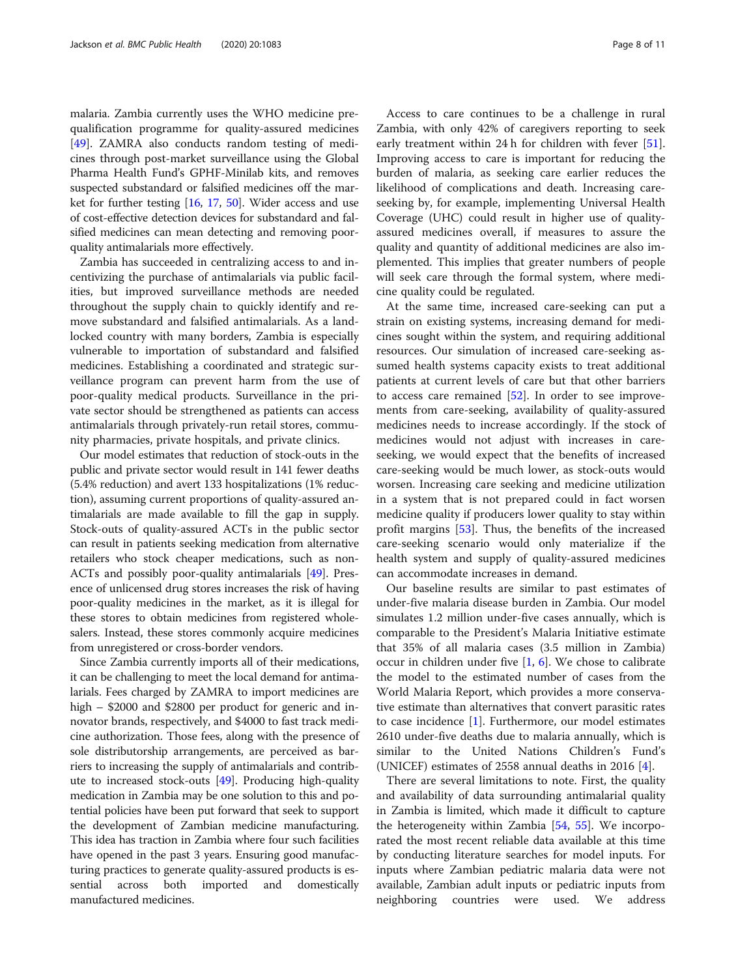malaria. Zambia currently uses the WHO medicine prequalification programme for quality-assured medicines [[49\]](#page-9-0). ZAMRA also conducts random testing of medicines through post-market surveillance using the Global Pharma Health Fund's GPHF-Minilab kits, and removes suspected substandard or falsified medicines off the market for further testing [\[16](#page-9-0), [17](#page-9-0), [50\]](#page-9-0). Wider access and use of cost-effective detection devices for substandard and falsified medicines can mean detecting and removing poorquality antimalarials more effectively.

Zambia has succeeded in centralizing access to and incentivizing the purchase of antimalarials via public facilities, but improved surveillance methods are needed throughout the supply chain to quickly identify and remove substandard and falsified antimalarials. As a landlocked country with many borders, Zambia is especially vulnerable to importation of substandard and falsified medicines. Establishing a coordinated and strategic surveillance program can prevent harm from the use of poor-quality medical products. Surveillance in the private sector should be strengthened as patients can access antimalarials through privately-run retail stores, community pharmacies, private hospitals, and private clinics.

Our model estimates that reduction of stock-outs in the public and private sector would result in 141 fewer deaths (5.4% reduction) and avert 133 hospitalizations (1% reduction), assuming current proportions of quality-assured antimalarials are made available to fill the gap in supply. Stock-outs of quality-assured ACTs in the public sector can result in patients seeking medication from alternative retailers who stock cheaper medications, such as non-ACTs and possibly poor-quality antimalarials [\[49\]](#page-9-0). Presence of unlicensed drug stores increases the risk of having poor-quality medicines in the market, as it is illegal for these stores to obtain medicines from registered wholesalers. Instead, these stores commonly acquire medicines from unregistered or cross-border vendors.

Since Zambia currently imports all of their medications, it can be challenging to meet the local demand for antimalarials. Fees charged by ZAMRA to import medicines are high – \$2000 and \$2800 per product for generic and innovator brands, respectively, and \$4000 to fast track medicine authorization. Those fees, along with the presence of sole distributorship arrangements, are perceived as barriers to increasing the supply of antimalarials and contribute to increased stock-outs [[49](#page-9-0)]. Producing high-quality medication in Zambia may be one solution to this and potential policies have been put forward that seek to support the development of Zambian medicine manufacturing. This idea has traction in Zambia where four such facilities have opened in the past 3 years. Ensuring good manufacturing practices to generate quality-assured products is essential across both imported and domestically manufactured medicines.

Access to care continues to be a challenge in rural Zambia, with only 42% of caregivers reporting to seek early treatment within 24 h for children with fever [\[51](#page-9-0)]. Improving access to care is important for reducing the burden of malaria, as seeking care earlier reduces the likelihood of complications and death. Increasing careseeking by, for example, implementing Universal Health Coverage (UHC) could result in higher use of qualityassured medicines overall, if measures to assure the quality and quantity of additional medicines are also implemented. This implies that greater numbers of people will seek care through the formal system, where medicine quality could be regulated.

At the same time, increased care-seeking can put a strain on existing systems, increasing demand for medicines sought within the system, and requiring additional resources. Our simulation of increased care-seeking assumed health systems capacity exists to treat additional patients at current levels of care but that other barriers to access care remained [\[52](#page-9-0)]. In order to see improvements from care-seeking, availability of quality-assured medicines needs to increase accordingly. If the stock of medicines would not adjust with increases in careseeking, we would expect that the benefits of increased care-seeking would be much lower, as stock-outs would worsen. Increasing care seeking and medicine utilization in a system that is not prepared could in fact worsen medicine quality if producers lower quality to stay within profit margins [[53](#page-9-0)]. Thus, the benefits of the increased care-seeking scenario would only materialize if the health system and supply of quality-assured medicines can accommodate increases in demand.

Our baseline results are similar to past estimates of under-five malaria disease burden in Zambia. Our model simulates 1.2 million under-five cases annually, which is comparable to the President's Malaria Initiative estimate that 35% of all malaria cases (3.5 million in Zambia) occur in children under five [[1,](#page-8-0) [6\]](#page-8-0). We chose to calibrate the model to the estimated number of cases from the World Malaria Report, which provides a more conservative estimate than alternatives that convert parasitic rates to case incidence [[1](#page-8-0)]. Furthermore, our model estimates 2610 under-five deaths due to malaria annually, which is similar to the United Nations Children's Fund's (UNICEF) estimates of 2558 annual deaths in 2016 [[4\]](#page-8-0).

There are several limitations to note. First, the quality and availability of data surrounding antimalarial quality in Zambia is limited, which made it difficult to capture the heterogeneity within Zambia [\[54](#page-9-0), [55](#page-10-0)]. We incorporated the most recent reliable data available at this time by conducting literature searches for model inputs. For inputs where Zambian pediatric malaria data were not available, Zambian adult inputs or pediatric inputs from neighboring countries were used. We address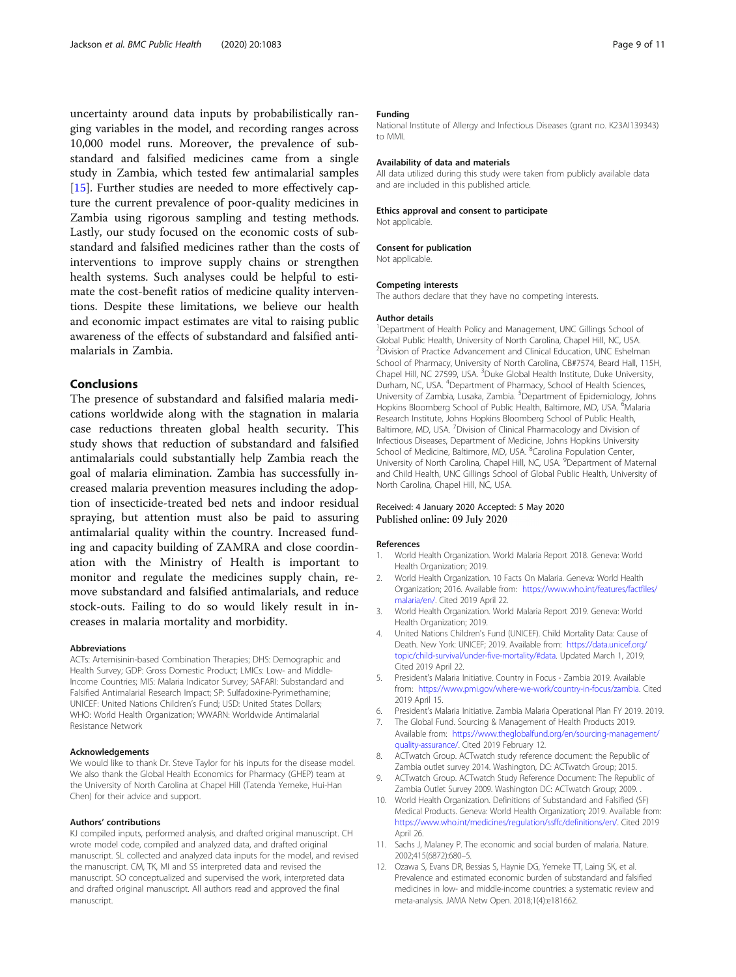<span id="page-8-0"></span>uncertainty around data inputs by probabilistically ranging variables in the model, and recording ranges across 10,000 model runs. Moreover, the prevalence of substandard and falsified medicines came from a single study in Zambia, which tested few antimalarial samples [[15\]](#page-9-0). Further studies are needed to more effectively capture the current prevalence of poor-quality medicines in Zambia using rigorous sampling and testing methods. Lastly, our study focused on the economic costs of substandard and falsified medicines rather than the costs of interventions to improve supply chains or strengthen health systems. Such analyses could be helpful to estimate the cost-benefit ratios of medicine quality interventions. Despite these limitations, we believe our health and economic impact estimates are vital to raising public awareness of the effects of substandard and falsified antimalarials in Zambia.

# Conclusions

The presence of substandard and falsified malaria medications worldwide along with the stagnation in malaria case reductions threaten global health security. This study shows that reduction of substandard and falsified antimalarials could substantially help Zambia reach the goal of malaria elimination. Zambia has successfully increased malaria prevention measures including the adoption of insecticide-treated bed nets and indoor residual spraying, but attention must also be paid to assuring antimalarial quality within the country. Increased funding and capacity building of ZAMRA and close coordination with the Ministry of Health is important to monitor and regulate the medicines supply chain, remove substandard and falsified antimalarials, and reduce stock-outs. Failing to do so would likely result in increases in malaria mortality and morbidity.

#### Abbreviations

ACTs: Artemisinin-based Combination Therapies; DHS: Demographic and Health Survey; GDP: Gross Domestic Product; LMICs: Low- and Middle-Income Countries; MIS: Malaria Indicator Survey; SAFARI: Substandard and Falsified Antimalarial Research Impact; SP: Sulfadoxine-Pyrimethamine; UNICEF: United Nations Children's Fund; USD: United States Dollars; WHO: World Health Organization; WWARN: Worldwide Antimalarial Resistance Network

#### Acknowledgements

We would like to thank Dr. Steve Taylor for his inputs for the disease model. We also thank the Global Health Economics for Pharmacy (GHEP) team at the University of North Carolina at Chapel Hill (Tatenda Yemeke, Hui-Han Chen) for their advice and support.

#### Authors' contributions

KJ compiled inputs, performed analysis, and drafted original manuscript. CH wrote model code, compiled and analyzed data, and drafted original manuscript. SL collected and analyzed data inputs for the model, and revised the manuscript. CM, TK, MI and SS interpreted data and revised the manuscript. SO conceptualized and supervised the work, interpreted data and drafted original manuscript. All authors read and approved the final manuscript.

#### Funding

National Institute of Allergy and Infectious Diseases (grant no. K23AI139343) to MMI.

#### Availability of data and materials

All data utilized during this study were taken from publicly available data and are included in this published article.

#### Ethics approval and consent to participate

Not applicable.

### Consent for publication

Not applicable.

# Competing interests The authors declare that they have no competing interests.

#### Author details

<sup>1</sup>Department of Health Policy and Management, UNC Gillings School of Global Public Health, University of North Carolina, Chapel Hill, NC, USA. 2 Division of Practice Advancement and Clinical Education, UNC Eshelman School of Pharmacy, University of North Carolina, CB#7574, Beard Hall, 115H, Chapel Hill, NC 27599, USA. <sup>3</sup>Duke Global Health Institute, Duke University, Durham, NC, USA. <sup>4</sup>Department of Pharmacy, School of Health Sciences, University of Zambia, Lusaka, Zambia. <sup>5</sup>Department of Epidemiology, Johns Hopkins Bloomberg School of Public Health, Baltimore, MD, USA. <sup>6</sup>Malaria Research Institute, Johns Hopkins Bloomberg School of Public Health, Baltimore, MD, USA. <sup>7</sup> Division of Clinical Pharmacology and Division of Infectious Diseases, Department of Medicine, Johns Hopkins University School of Medicine, Baltimore, MD, USA. <sup>8</sup>Carolina Population Center University of North Carolina, Chapel Hill, NC, USA. <sup>9</sup> Department of Maternal and Child Health, UNC Gillings School of Global Public Health, University of North Carolina, Chapel Hill, NC, USA.

#### Received: 4 January 2020 Accepted: 5 May 2020 Published online: 09 July 2020

#### References

- 1. World Health Organization. World Malaria Report 2018. Geneva: World Health Organization; 2019.
- 2. World Health Organization. 10 Facts On Malaria. Geneva: World Health Organization; 2016. Available from: [https://www.who.int/features/factfiles/](https://www.who.int/features/factfiles/malaria/en/) [malaria/en/](https://www.who.int/features/factfiles/malaria/en/). Cited 2019 April 22.
- 3. World Health Organization. World Malaria Report 2019. Geneva: World Health Organization; 2019.
- 4. United Nations Children's Fund (UNICEF). Child Mortality Data: Cause of Death. New York: UNICEF; 2019. Available from: [https://data.unicef.org/](https://data.unicef.org/topic/child-survival/under-five-mortality/#data) [topic/child-survival/under-five-mortality/#data.](https://data.unicef.org/topic/child-survival/under-five-mortality/#data) Updated March 1, 2019; Cited 2019 April 22.
- 5. President's Malaria Initiative. Country in Focus Zambia 2019. Available from: <https://www.pmi.gov/where-we-work/country-in-focus/zambia>. Cited 2019 April 15.
- 6. President's Malaria Initiative. Zambia Malaria Operational Plan FY 2019. 2019.
- The Global Fund. Sourcing & Management of Health Products 2019 Available from: [https://www.theglobalfund.org/en/sourcing-management/](https://www.theglobalfund.org/en/sourcing-management/quality-assurance/) [quality-assurance/.](https://www.theglobalfund.org/en/sourcing-management/quality-assurance/) Cited 2019 February 12.
- 8. ACTwatch Group. ACTwatch study reference document: the Republic of Zambia outlet survey 2014. Washington, DC: ACTwatch Group; 2015.
- 9. ACTwatch Group. ACTwatch Study Reference Document: The Republic of Zambia Outlet Survey 2009. Washington DC: ACTwatch Group; 2009. .
- 10. World Health Organization. Definitions of Substandard and Falsified (SF) Medical Products. Geneva: World Health Organization; 2019. Available from: [https://www.who.int/medicines/regulation/ssffc/definitions/en/.](https://www.who.int/medicines/regulation/ssffc/definitions/en/) Cited 2019 April 26.
- 11. Sachs J, Malaney P. The economic and social burden of malaria. Nature. 2002;415(6872):680–5.
- 12. Ozawa S, Evans DR, Bessias S, Haynie DG, Yemeke TT, Laing SK, et al. Prevalence and estimated economic burden of substandard and falsified medicines in low- and middle-income countries: a systematic review and meta-analysis. JAMA Netw Open. 2018;1(4):e181662.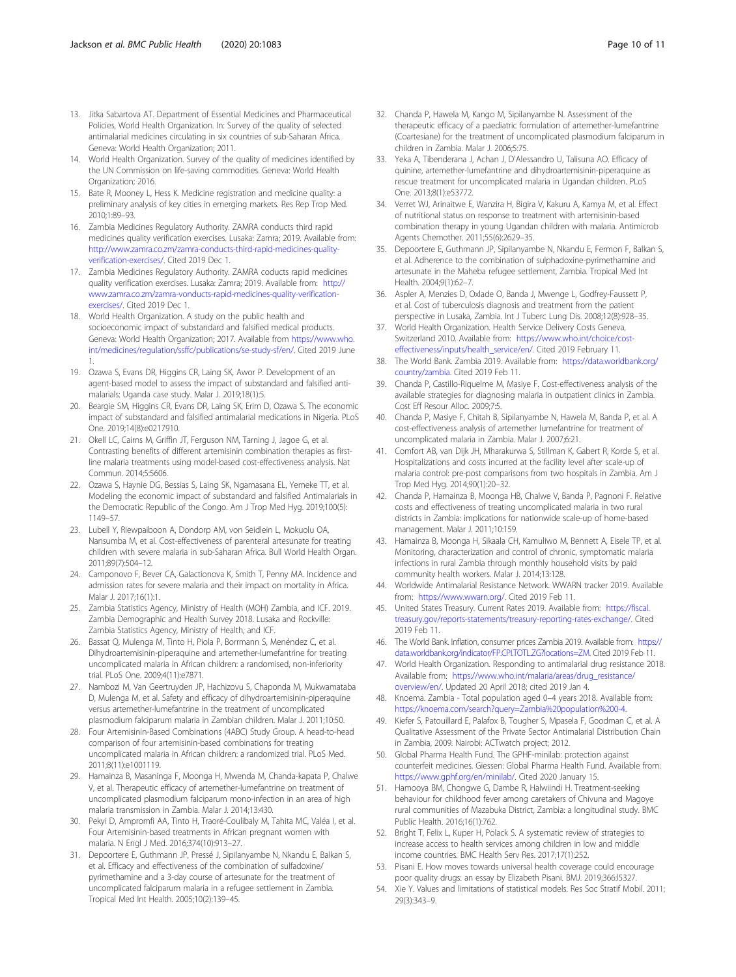- <span id="page-9-0"></span>13. Jitka Sabartova AT. Department of Essential Medicines and Pharmaceutical Policies, World Health Organization. In: Survey of the quality of selected antimalarial medicines circulating in six countries of sub-Saharan Africa. Geneva: World Health Organization; 2011.
- 14. World Health Organization. Survey of the quality of medicines identified by the UN Commission on life-saving commodities. Geneva: World Health Organization; 2016.
- 15. Bate R, Mooney L, Hess K. Medicine registration and medicine quality: a preliminary analysis of key cities in emerging markets. Res Rep Trop Med. 2010;1:89–93.
- 16. Zambia Medicines Regulatory Authority. ZAMRA conducts third rapid medicines quality verification exercises. Lusaka: Zamra; 2019. Available from: [http://www.zamra.co.zm/zamra-conducts-third-rapid-medicines-quality](http://www.zamra.co.zm/zamra-conducts-third-rapid-medicines-quality-verification-exercises/)[verification-exercises/](http://www.zamra.co.zm/zamra-conducts-third-rapid-medicines-quality-verification-exercises/). Cited 2019 Dec 1.
- 17. Zambia Medicines Regulatory Authority. ZAMRA coducts rapid medicines quality verification exercises. Lusaka: Zamra; 2019. Available from: [http://](http://www.zamra.co.zm/zamra-vonducts-rapid-medicines-quality-verification-exercises/) [www.zamra.co.zm/zamra-vonducts-rapid-medicines-quality-verification](http://www.zamra.co.zm/zamra-vonducts-rapid-medicines-quality-verification-exercises/)[exercises/](http://www.zamra.co.zm/zamra-vonducts-rapid-medicines-quality-verification-exercises/). Cited 2019 Dec 1.
- 18. World Health Organization. A study on the public health and socioeconomic impact of substandard and falsified medical products. Geneva: World Health Organization; 2017. Available from [https://www.who.](https://www.who.int/medicines/regulation/ssffc/publications/se-study-sf/en/) [int/medicines/regulation/ssffc/publications/se-study-sf/en/.](https://www.who.int/medicines/regulation/ssffc/publications/se-study-sf/en/) Cited 2019 June 1.
- 19. Ozawa S, Evans DR, Higgins CR, Laing SK, Awor P. Development of an agent-based model to assess the impact of substandard and falsified antimalarials: Uganda case study. Malar J. 2019;18(1):5.
- 20. Beargie SM, Higgins CR, Evans DR, Laing SK, Erim D, Ozawa S. The economic impact of substandard and falsified antimalarial medications in Nigeria. PLoS One. 2019;14(8):e0217910.
- 21. Okell LC, Cairns M, Griffin JT, Ferguson NM, Tarning J, Jagoe G, et al. Contrasting benefits of different artemisinin combination therapies as firstline malaria treatments using model-based cost-effectiveness analysis. Nat Commun. 2014;5:5606.
- 22. Ozawa S, Haynie DG, Bessias S, Laing SK, Ngamasana EL, Yemeke TT, et al. Modeling the economic impact of substandard and falsified Antimalarials in the Democratic Republic of the Congo. Am J Trop Med Hyg. 2019;100(5): 1149–57.
- 23. Lubell Y, Riewpaiboon A, Dondorp AM, von Seidlein L, Mokuolu OA, Nansumba M, et al. Cost-effectiveness of parenteral artesunate for treating children with severe malaria in sub-Saharan Africa. Bull World Health Organ. 2011;89(7):504–12.
- 24. Camponovo F, Bever CA, Galactionova K, Smith T, Penny MA. Incidence and admission rates for severe malaria and their impact on mortality in Africa. Malar | 2017:16(1):1
- 25. Zambia Statistics Agency, Ministry of Health (MOH) Zambia, and ICF. 2019. Zambia Demographic and Health Survey 2018. Lusaka and Rockville: Zambia Statistics Agency, Ministry of Health, and ICF.
- 26. Bassat Q, Mulenga M, Tinto H, Piola P, Borrmann S, Menéndez C, et al. Dihydroartemisinin-piperaquine and artemether-lumefantrine for treating uncomplicated malaria in African children: a randomised, non-inferiority trial. PLoS One. 2009;4(11):e7871.
- 27. Nambozi M, Van Geertruyden JP, Hachizovu S, Chaponda M, Mukwamataba D, Mulenga M, et al. Safety and efficacy of dihydroartemisinin-piperaquine versus artemether-lumefantrine in the treatment of uncomplicated plasmodium falciparum malaria in Zambian children. Malar J. 2011;10:50.
- 28. Four Artemisinin-Based Combinations (4ABC) Study Group. A head-to-head comparison of four artemisinin-based combinations for treating uncomplicated malaria in African children: a randomized trial. PLoS Med. 2011;8(11):e1001119.
- 29. Hamainza B, Masaninga F, Moonga H, Mwenda M, Chanda-kapata P, Chalwe V, et al. Therapeutic efficacy of artemether-lumefantrine on treatment of uncomplicated plasmodium falciparum mono-infection in an area of high malaria transmission in Zambia. Malar J. 2014;13:430.
- 30. Pekyi D, Ampromfi AA, Tinto H, Traoré-Coulibaly M, Tahita MC, Valéa I, et al. Four Artemisinin-based treatments in African pregnant women with malaria. N Engl J Med. 2016;374(10):913–27.
- 31. Depoortere E, Guthmann JP, Pressé J, Sipilanyambe N, Nkandu E, Balkan S, et al. Efficacy and effectiveness of the combination of sulfadoxine/ pyrimethamine and a 3-day course of artesunate for the treatment of uncomplicated falciparum malaria in a refugee settlement in Zambia. Tropical Med Int Health. 2005;10(2):139–45.
- 32. Chanda P, Hawela M, Kango M, Sipilanyambe N. Assessment of the therapeutic efficacy of a paediatric formulation of artemether-lumefantrine (Coartesiane) for the treatment of uncomplicated plasmodium falciparum in children in Zambia. Malar J. 2006;5:75.
- 33. Yeka A, Tibenderana J, Achan J, D'Alessandro U, Talisuna AO. Efficacy of quinine, artemether-lumefantrine and dihydroartemisinin-piperaquine as rescue treatment for uncomplicated malaria in Ugandan children. PLoS One. 2013;8(1):e53772.
- 34. Verret WJ, Arinaitwe E, Wanzira H, Bigira V, Kakuru A, Kamya M, et al. Effect of nutritional status on response to treatment with artemisinin-based combination therapy in young Ugandan children with malaria. Antimicrob Agents Chemother. 2011;55(6):2629–35.
- 35. Depoortere E, Guthmann JP, Sipilanyambe N, Nkandu E, Fermon F, Balkan S, et al. Adherence to the combination of sulphadoxine-pyrimethamine and artesunate in the Maheba refugee settlement, Zambia. Tropical Med Int Health. 2004;9(1):62–7.
- 36. Aspler A, Menzies D, Oxlade O, Banda J, Mwenge L, Godfrey-Faussett P, et al. Cost of tuberculosis diagnosis and treatment from the patient perspective in Lusaka, Zambia. Int J Tuberc Lung Dis. 2008;12(8):928–35.
- 37. World Health Organization. Health Service Delivery Costs Geneva, Switzerland 2010. Available from: [https://www.who.int/choice/cost](https://www.who.int/choice/cost-effectiveness/inputs/health_service/en/)[effectiveness/inputs/health\\_service/en/](https://www.who.int/choice/cost-effectiveness/inputs/health_service/en/). Cited 2019 February 11.
- 38. The World Bank. Zambia 2019. Available from: [https://data.worldbank.org/](https://data.worldbank.org/country/zambia) [country/zambia](https://data.worldbank.org/country/zambia). Cited 2019 Feb 11.
- 39. Chanda P, Castillo-Riquelme M, Masiye F. Cost-effectiveness analysis of the available strategies for diagnosing malaria in outpatient clinics in Zambia. Cost Eff Resour Alloc. 2009;7:5.
- 40. Chanda P, Masiye F, Chitah B, Sipilanyambe N, Hawela M, Banda P, et al. A cost-effectiveness analysis of artemether lumefantrine for treatment of uncomplicated malaria in Zambia. Malar J. 2007;6:21.
- 41. Comfort AB, van Dijk JH, Mharakurwa S, Stillman K, Gabert R, Korde S, et al. Hospitalizations and costs incurred at the facility level after scale-up of malaria control: pre-post comparisons from two hospitals in Zambia. Am J Trop Med Hyg. 2014;90(1):20–32.
- 42. Chanda P, Hamainza B, Moonga HB, Chalwe V, Banda P, Pagnoni F. Relative costs and effectiveness of treating uncomplicated malaria in two rural districts in Zambia: implications for nationwide scale-up of home-based management. Malar J. 2011;10:159.
- 43. Hamainza B, Moonga H, Sikaala CH, Kamuliwo M, Bennett A, Eisele TP, et al. Monitoring, characterization and control of chronic, symptomatic malaria infections in rural Zambia through monthly household visits by paid community health workers. Malar J. 2014;13:128.
- 44. Worldwide Antimalarial Resistance Network. WWARN tracker 2019. Available from: [https://www.wwarn.org/.](https://www.wwarn.org/) Cited 2019 Feb 11.
- 45. United States Treasury. Current Rates 2019. Available from: [https://fiscal.](https://fiscal.treasury.gov/reports-statements/treasury-reporting-rates-exchange/) [treasury.gov/reports-statements/treasury-reporting-rates-exchange/.](https://fiscal.treasury.gov/reports-statements/treasury-reporting-rates-exchange/) Cited 2019 Feb 11.
- 46. The World Bank. Inflation, consumer prices Zambia 2019. Available from: [https://](https://data.worldbank.org/indicator/FP.CPI.TOTL.ZG?locations=ZM) [data.worldbank.org/indicator/FP.CPI.TOTL.ZG?locations=ZM](https://data.worldbank.org/indicator/FP.CPI.TOTL.ZG?locations=ZM). Cited 2019 Feb 11.
- 47. World Health Organization. Responding to antimalarial drug resistance 2018. Available from: [https://www.who.int/malaria/areas/drug\\_resistance/](https://www.who.int/malaria/areas/drug_resistance/overview/en/) [overview/en/.](https://www.who.int/malaria/areas/drug_resistance/overview/en/) Updated 20 April 2018; cited 2019 Jan 4.
- 48. Knoema. Zambia Total population aged 0–4 years 2018. Available from: <https://knoema.com/search?query=Zambia%20population%200-4>.
- 49. Kiefer S, Patouillard E, Palafox B, Tougher S, Mpasela F, Goodman C, et al. A Qualitative Assessment of the Private Sector Antimalarial Distribution Chain in Zambia, 2009. Nairobi: ACTwatch project; 2012.
- 50. Global Pharma Health Fund. The GPHF-minilab: protection against counterfeit medicines. Giessen: Global Pharma Health Fund. Available from: [https://www.gphf.org/en/minilab/.](https://www.gphf.org/en/minilab/) Cited 2020 January 15.
- 51. Hamooya BM, Chongwe G, Dambe R, Halwiindi H. Treatment-seeking behaviour for childhood fever among caretakers of Chivuna and Magoye rural communities of Mazabuka District, Zambia: a longitudinal study. BMC Public Health. 2016;16(1):762.
- 52. Bright T, Felix L, Kuper H, Polack S. A systematic review of strategies to increase access to health services among children in low and middle income countries. BMC Health Serv Res. 2017;17(1):252.
- 53. Pisani E. How moves towards universal health coverage could encourage poor quality drugs: an essay by Elizabeth Pisani. BMJ. 2019;366:l5327.
- 54. Xie Y. Values and limitations of statistical models. Res Soc Stratif Mobil. 2011; 29(3):343–9.